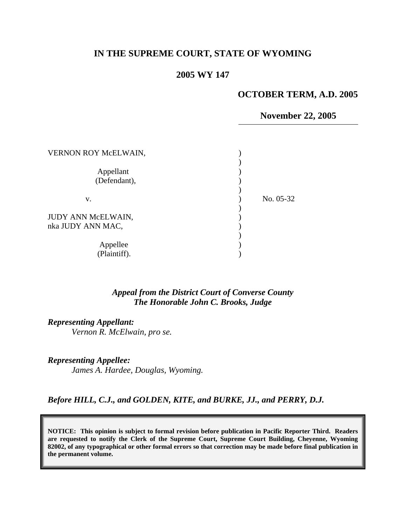## **IN THE SUPREME COURT, STATE OF WYOMING**

## **2005 WY 147**

# **OCTOBER TERM, A.D. 2005**

**November 22, 2005** 

| VERNON ROY McELWAIN,                    |           |
|-----------------------------------------|-----------|
| Appellant<br>(Defendant),               |           |
| v.                                      | No. 05-32 |
| JUDY ANN McELWAIN,<br>nka JUDY ANN MAC, |           |
| Appellee<br>(Plaintiff).                |           |

#### *Appeal from the District Court of Converse County The Honorable John C. Brooks, Judge*

*Representing Appellant:* 

*Vernon R. McElwain, pro se.* 

*Representing Appellee:* 

 *James A. Hardee, Douglas, Wyoming.* 

*Before HILL, C.J., and GOLDEN, KITE, and BURKE, JJ., and PERRY, D.J.* 

**NOTICE: This opinion is subject to formal revision before publication in Pacific Reporter Third. Readers are requested to notify the Clerk of the Supreme Court, Supreme Court Building, Cheyenne, Wyoming 82002, of any typographical or other formal errors so that correction may be made before final publication in the permanent volume.**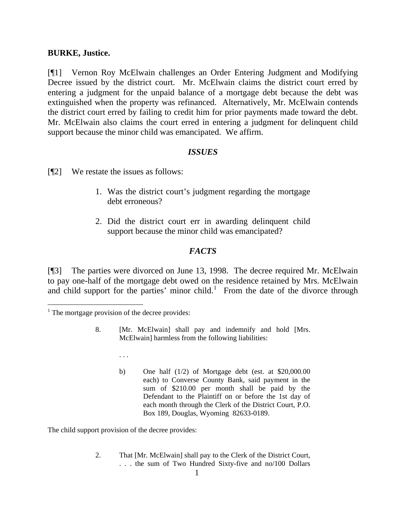#### **BURKE, Justice.**

[¶1] Vernon Roy McElwain challenges an Order Entering Judgment and Modifying Decree issued by the district court. Mr. McElwain claims the district court erred by entering a judgment for the unpaid balance of a mortgage debt because the debt was extinguished when the property was refinanced. Alternatively, Mr. McElwain contends the district court erred by failing to credit him for prior payments made toward the debt. Mr. McElwain also claims the court erred in entering a judgment for delinquent child support because the minor child was emancipated. We affirm.

#### *ISSUES*

[¶2] We restate the issues as follows:

- 1. Was the district court's judgment regarding the mortgage debt erroneous?
- 2. Did the district court err in awarding delinquent child support because the minor child was emancipated?

## *FACTS*

[¶3] The parties were divorced on June 13, 1998. The decree required Mr. McElwain to pay one-half of the mortgage debt owed on the residence retained by Mrs. McElwain and child support for the parties' minor child.<sup>[1](#page-1-0)</sup> From the date of the divorce through

 $\overline{a}$ 

- 8. [Mr. McElwain] shall pay and indemnify and hold [Mrs. McElwain] harmless from the following liabilities:
	- . . .
	- b) One half (1/2) of Mortgage debt (est. at \$20,000.00 each) to Converse County Bank, said payment in the sum of \$210.00 per month shall be paid by the Defendant to the Plaintiff on or before the 1st day of each month through the Clerk of the District Court, P.O. Box 189, Douglas, Wyoming 82633-0189.

The child support provision of the decree provides:

2. That [Mr. McElwain] shall pay to the Clerk of the District Court, . . . the sum of Two Hundred Sixty-five and no/100 Dollars

<span id="page-1-0"></span> $<sup>1</sup>$  The mortgage provision of the decree provides:</sup>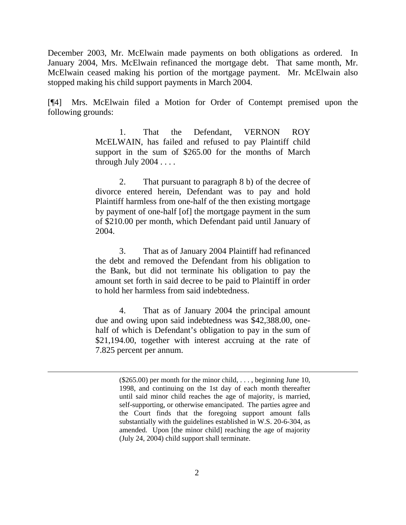December 2003, Mr. McElwain made payments on both obligations as ordered. In January 2004, Mrs. McElwain refinanced the mortgage debt. That same month, Mr. McElwain ceased making his portion of the mortgage payment. Mr. McElwain also stopped making his child support payments in March 2004.

[¶4] Mrs. McElwain filed a Motion for Order of Contempt premised upon the following grounds:

> 1. That the Defendant, VERNON ROY McELWAIN, has failed and refused to pay Plaintiff child support in the sum of \$265.00 for the months of March through July  $2004...$

> 2. That pursuant to paragraph 8 b) of the decree of divorce entered herein, Defendant was to pay and hold Plaintiff harmless from one-half of the then existing mortgage by payment of one-half [of] the mortgage payment in the sum of \$210.00 per month, which Defendant paid until January of 2004.

> 3. That as of January 2004 Plaintiff had refinanced the debt and removed the Defendant from his obligation to the Bank, but did not terminate his obligation to pay the amount set forth in said decree to be paid to Plaintiff in order to hold her harmless from said indebtedness.

> 4. That as of January 2004 the principal amount due and owing upon said indebtedness was \$42,388.00, onehalf of which is Defendant's obligation to pay in the sum of \$21,194.00, together with interest accruing at the rate of 7.825 percent per annum.

 $\overline{a}$ 

 $(\$265.00)$  per month for the minor child, ..., beginning June 10, 1998, and continuing on the 1st day of each month thereafter until said minor child reaches the age of majority, is married, self-supporting, or otherwise emancipated. The parties agree and the Court finds that the foregoing support amount falls substantially with the guidelines established in W.S. 20-6-304, as amended. Upon [the minor child] reaching the age of majority (July 24, 2004) child support shall terminate.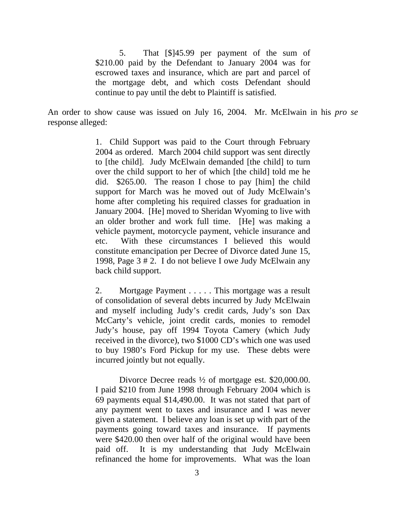5. That [\$]45.99 per payment of the sum of \$210.00 paid by the Defendant to January 2004 was for escrowed taxes and insurance, which are part and parcel of the mortgage debt, and which costs Defendant should continue to pay until the debt to Plaintiff is satisfied.

An order to show cause was issued on July 16, 2004. Mr. McElwain in his *pro se* response alleged:

> 1. Child Support was paid to the Court through February 2004 as ordered. March 2004 child support was sent directly to [the child]. Judy McElwain demanded [the child] to turn over the child support to her of which [the child] told me he did. \$265.00. The reason I chose to pay [him] the child support for March was he moved out of Judy McElwain's home after completing his required classes for graduation in January 2004. [He] moved to Sheridan Wyoming to live with an older brother and work full time. [He] was making a vehicle payment, motorcycle payment, vehicle insurance and etc. With these circumstances I believed this would constitute emancipation per Decree of Divorce dated June 15, 1998, Page 3 # 2. I do not believe I owe Judy McElwain any back child support.

> 2. Mortgage Payment . . . . . This mortgage was a result of consolidation of several debts incurred by Judy McElwain and myself including Judy's credit cards, Judy's son Dax McCarty's vehicle, joint credit cards, monies to remodel Judy's house, pay off 1994 Toyota Camery (which Judy received in the divorce), two \$1000 CD's which one was used to buy 1980's Ford Pickup for my use. These debts were incurred jointly but not equally.

> Divorce Decree reads  $\frac{1}{2}$  of mortgage est. \$20,000.00. I paid \$210 from June 1998 through February 2004 which is 69 payments equal \$14,490.00. It was not stated that part of any payment went to taxes and insurance and I was never given a statement. I believe any loan is set up with part of the payments going toward taxes and insurance. If payments were \$420.00 then over half of the original would have been paid off. It is my understanding that Judy McElwain refinanced the home for improvements. What was the loan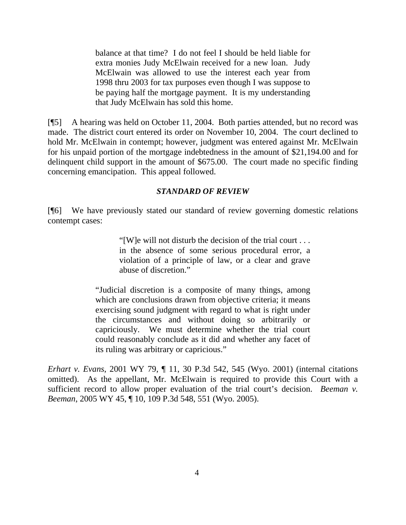balance at that time? I do not feel I should be held liable for extra monies Judy McElwain received for a new loan. Judy McElwain was allowed to use the interest each year from 1998 thru 2003 for tax purposes even though I was suppose to be paying half the mortgage payment. It is my understanding that Judy McElwain has sold this home.

[¶5] A hearing was held on October 11, 2004. Both parties attended, but no record was made. The district court entered its order on November 10, 2004. The court declined to hold Mr. McElwain in contempt; however, judgment was entered against Mr. McElwain for his unpaid portion of the mortgage indebtedness in the amount of \$21,194.00 and for delinquent child support in the amount of \$675.00. The court made no specific finding concerning emancipation. This appeal followed.

#### *STANDARD OF REVIEW*

[¶6] We have previously stated our standard of review governing domestic relations contempt cases:

> "[W]e will not disturb the decision of the trial court . . . in the absence of some serious procedural error, a violation of a principle of law, or a clear and grave abuse of discretion."

"Judicial discretion is a composite of many things, among which are conclusions drawn from objective criteria; it means exercising sound judgment with regard to what is right under the circumstances and without doing so arbitrarily or capriciously. We must determine whether the trial court could reasonably conclude as it did and whether any facet of its ruling was arbitrary or capricious."

*Erhart v. Evans*, 2001 WY 79, ¶ 11, 30 P.3d 542, 545 (Wyo. 2001) (internal citations omitted). As the appellant, Mr. McElwain is required to provide this Court with a sufficient record to allow proper evaluation of the trial court's decision. *Beeman v. Beeman*, 2005 WY 45, ¶ 10, 109 P.3d 548, 551 (Wyo. 2005).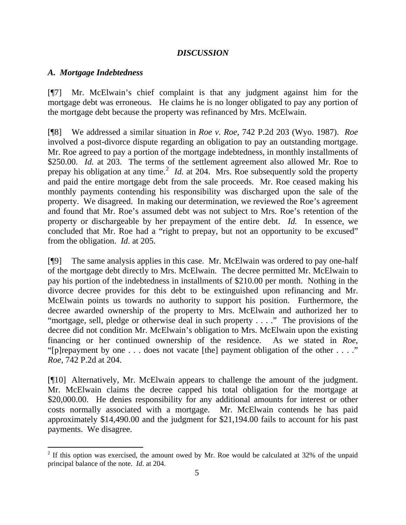### *DISCUSSION*

### *A. Mortgage Indebtedness*

 $\overline{a}$ 

[¶7] Mr. McElwain's chief complaint is that any judgment against him for the mortgage debt was erroneous. He claims he is no longer obligated to pay any portion of the mortgage debt because the property was refinanced by Mrs. McElwain.

[¶8] We addressed a similar situation in *Roe v. Roe*, 742 P.2d 203 (Wyo. 1987). *Roe*  involved a post-divorce dispute regarding an obligation to pay an outstanding mortgage. Mr. Roe agreed to pay a portion of the mortgage indebtedness, in monthly installments of \$250.00. *Id.* at 203. The terms of the settlement agreement also allowed Mr. Roe to prepay his obligation at any time.<sup>[2](#page-5-0)</sup> *Id.* at 204. Mrs. Roe subsequently sold the property and paid the entire mortgage debt from the sale proceeds. Mr. Roe ceased making his monthly payments contending his responsibility was discharged upon the sale of the property. We disagreed. In making our determination, we reviewed the Roe's agreement and found that Mr. Roe's assumed debt was not subject to Mrs. Roe's retention of the property or dischargeable by her prepayment of the entire debt. *Id.* In essence, we concluded that Mr. Roe had a "right to prepay, but not an opportunity to be excused" from the obligation. *Id*. at 205.

[¶9] The same analysis applies in this case. Mr. McElwain was ordered to pay one-half of the mortgage debt directly to Mrs. McElwain. The decree permitted Mr. McElwain to pay his portion of the indebtedness in installments of \$210.00 per month. Nothing in the divorce decree provides for this debt to be extinguished upon refinancing and Mr. McElwain points us towards no authority to support his position. Furthermore, the decree awarded ownership of the property to Mrs. McElwain and authorized her to "mortgage, sell, pledge or otherwise deal in such property . . . ." The provisions of the decree did not condition Mr. McElwain's obligation to Mrs. McElwain upon the existing financing or her continued ownership of the residence. As we stated in *Roe*, "[p]repayment by one . . . does not vacate [the] payment obligation of the other . . . ." *Roe*, 742 P.2d at 204.

[¶10] Alternatively, Mr. McElwain appears to challenge the amount of the judgment. Mr. McElwain claims the decree capped his total obligation for the mortgage at \$20,000.00. He denies responsibility for any additional amounts for interest or other costs normally associated with a mortgage. Mr. McElwain contends he has paid approximately \$14,490.00 and the judgment for \$21,194.00 fails to account for his past payments. We disagree.

<span id="page-5-0"></span><sup>&</sup>lt;sup>2</sup> If this option was exercised, the amount owed by Mr. Roe would be calculated at 32% of the unpaid principal balance of the note. *Id*. at 204.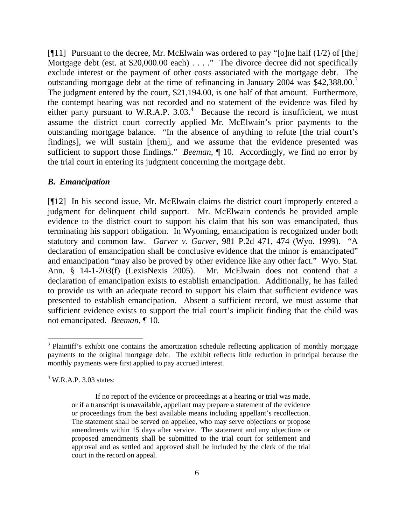[ $[$ [11] Pursuant to the decree, Mr. McElwain was ordered to pay "[o]ne half (1/2) of [the] Mortgage debt (est. at \$20,000.00 each) . . . ." The divorce decree did not specifically exclude interest or the payment of other costs associated with the mortgage debt. The outstanding mortgage debt at the time of refinancing in January 2004 was \$42,[3](#page-6-0)88.00.<sup>3</sup> The judgment entered by the court, \$21,194.00, is one half of that amount. Furthermore, the contempt hearing was not recorded and no statement of the evidence was filed by either party pursuant to W.R.A.P.  $3.03<sup>4</sup>$  $3.03<sup>4</sup>$  $3.03<sup>4</sup>$  Because the record is insufficient, we must assume the district court correctly applied Mr. McElwain's prior payments to the outstanding mortgage balance. "In the absence of anything to refute [the trial court's findings], we will sustain [them], and we assume that the evidence presented was sufficient to support those findings." *Beeman*, ¶ 10. Accordingly, we find no error by the trial court in entering its judgment concerning the mortgage debt.

#### *B. Emancipation*

[¶12] In his second issue, Mr. McElwain claims the district court improperly entered a judgment for delinquent child support. Mr. McElwain contends he provided ample evidence to the district court to support his claim that his son was emancipated, thus terminating his support obligation. In Wyoming, emancipation is recognized under both statutory and common law. *Garver v. Garver*, 981 P.2d 471, 474 (Wyo. 1999). "A declaration of emancipation shall be conclusive evidence that the minor is emancipated" and emancipation "may also be proved by other evidence like any other fact." Wyo. Stat. Ann. § 14-1-203(f) (LexisNexis 2005). Mr. McElwain does not contend that a declaration of emancipation exists to establish emancipation. Additionally, he has failed to provide us with an adequate record to support his claim that sufficient evidence was presented to establish emancipation. Absent a sufficient record, we must assume that sufficient evidence exists to support the trial court's implicit finding that the child was not emancipated. *Beeman*, ¶ 10.

 $\overline{a}$ 

<span id="page-6-0"></span><sup>&</sup>lt;sup>3</sup> Plaintiff's exhibit one contains the amortization schedule reflecting application of monthly mortgage payments to the original mortgage debt. The exhibit reflects little reduction in principal because the monthly payments were first applied to pay accrued interest.

<span id="page-6-1"></span> $4$  W.R.A.P. 3.03 states:

If no report of the evidence or proceedings at a hearing or trial was made, or if a transcript is unavailable, appellant may prepare a statement of the evidence or proceedings from the best available means including appellant's recollection. The statement shall be served on appellee, who may serve objections or propose amendments within 15 days after service. The statement and any objections or proposed amendments shall be submitted to the trial court for settlement and approval and as settled and approved shall be included by the clerk of the trial court in the record on appeal.